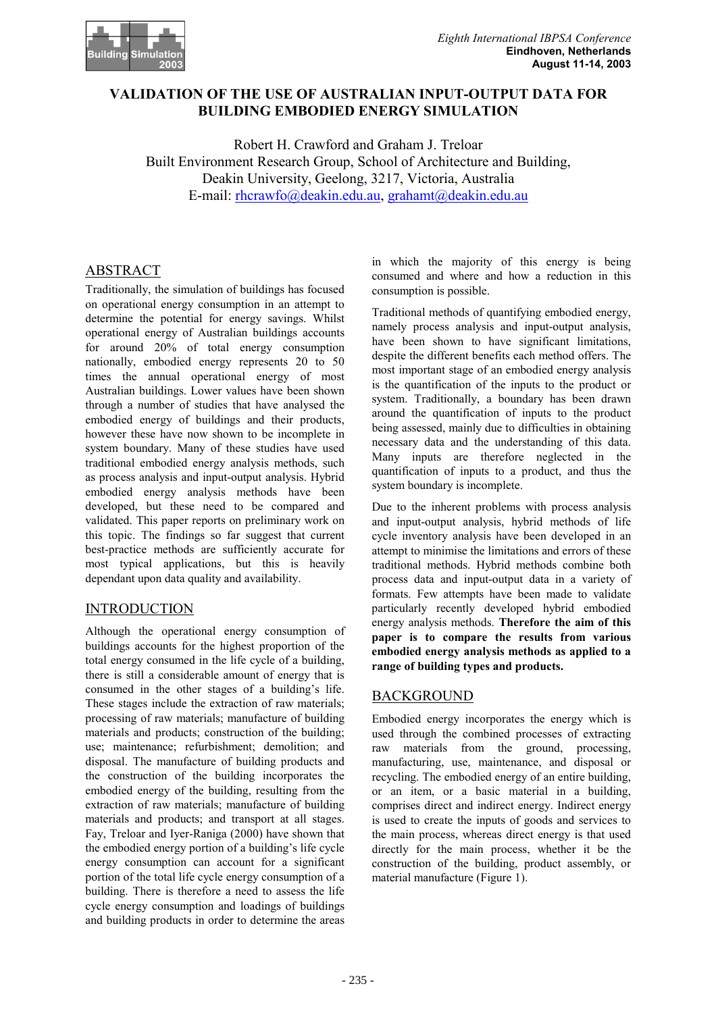

### VALIDATION OF THE USE OF AUSTRALIAN INPUT-OUTPUT DATA FOR **BUILDING EMBODIED ENERGY SIMULATION**

Robert H. Crawford and Graham J. Treloar Built Environment Research Group, School of Architecture and Building, Deakin University, Geelong, 3217, Victoria, Australia E-mail: rhcrawfo@deakin.edu.au. grahamt@deakin.edu.au

## **ABSTRACT**

Traditionally, the simulation of buildings has focused on operational energy consumption in an attempt to determine the potential for energy savings. Whilst operational energy of Australian buildings accounts for around  $20\%$  of total energy consumption nationally, embodied energy represents 20 to 50 times the annual operational energy of most Australian buildings. Lower values have been shown through a number of studies that have analysed the embodied energy of buildings and their products, however these have now shown to be incomplete in system boundary. Many of these studies have used traditional embodied energy analysis methods, such as process analysis and input-output analysis. Hybrid embodied energy analysis methods have been developed, but these need to be compared and validated. This paper reports on preliminary work on this topic. The findings so far suggest that current best-practice methods are sufficiently accurate for most typical applications, but this is heavily dependant upon data quality and availability.

## **INTRODUCTION**

Although the operational energy consumption of buildings accounts for the highest proportion of the total energy consumed in the life cycle of a building, there is still a considerable amount of energy that is consumed in the other stages of a building's life. These stages include the extraction of raw materials; processing of raw materials; manufacture of building materials and products: construction of the building: use: maintenance: refurbishment: demolition: and disposal. The manufacture of building products and the construction of the building incorporates the embodied energy of the building, resulting from the extraction of raw materials; manufacture of building materials and products; and transport at all stages. Fay, Treloar and Iyer-Raniga (2000) have shown that the embodied energy portion of a building's life cycle energy consumption can account for a significant portion of the total life cycle energy consumption of a building. There is therefore a need to assess the life cycle energy consumption and loadings of buildings and building products in order to determine the areas

in which the majority of this energy is being consumed and where and how a reduction in this consumption is possible.

Traditional methods of quantifying embodied energy, namely process analysis and input-output analysis, have been shown to have significant limitations, despite the different benefits each method offers. The most important stage of an embodied energy analysis is the quantification of the inputs to the product or system. Traditionally, a boundary has been drawn around the quantification of inputs to the product being assessed, mainly due to difficulties in obtaining necessary data and the understanding of this data. Many inputs are therefore neglected in the quantification of inputs to a product, and thus the system boundary is incomplete.

Due to the inherent problems with process analysis and input-output analysis, hybrid methods of life cycle inventory analysis have been developed in an attempt to minimise the limitations and errors of these traditional methods. Hybrid methods combine both process data and input-output data in a variety of formats. Few attempts have been made to validate particularly recently developed hybrid embodied energy analysis methods. Therefore the aim of this paper is to compare the results from various embodied energy analysis methods as applied to a range of building types and products.

#### **BACKGROUND**

Embodied energy incorporates the energy which is used through the combined processes of extracting raw materials from the ground, processing, manufacturing, use, maintenance, and disposal or recycling. The embodied energy of an entire building, or an item, or a basic material in a building, comprises direct and indirect energy. Indirect energy is used to create the inputs of goods and services to the main process, whereas direct energy is that used directly for the main process, whether it be the construction of the building, product assembly, or material manufacture (Figure 1).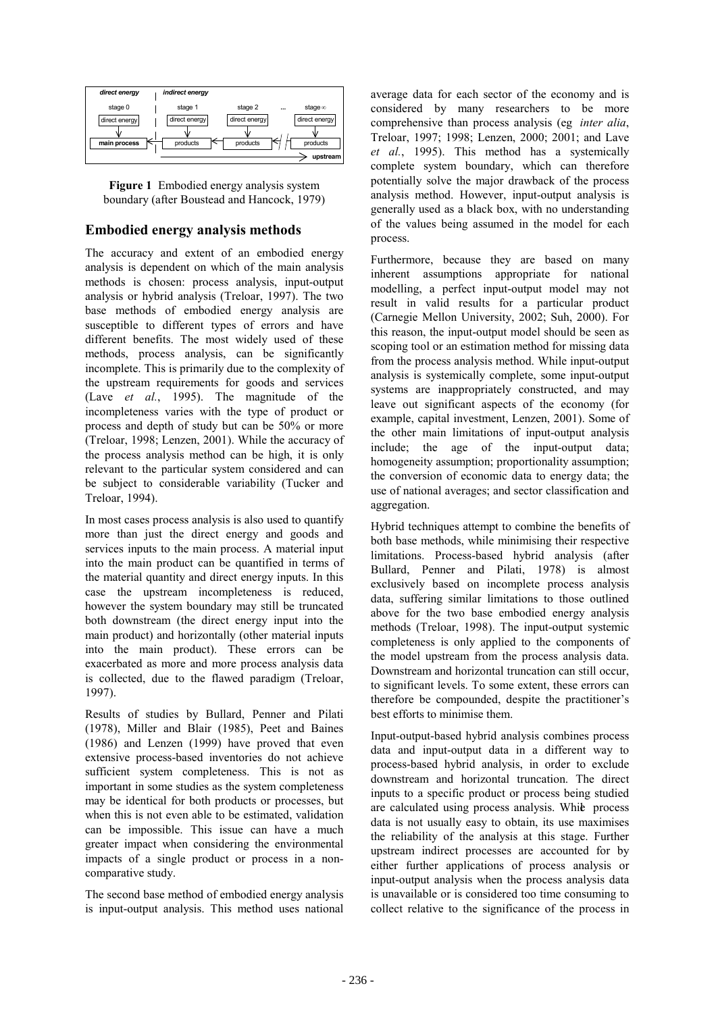

Figure 1 Embodied energy analysis system boundary (after Boustead and Hancock, 1979)

#### **Embodied energy analysis methods**

The accuracy and extent of an embodied energy analysis is dependent on which of the main analysis methods is chosen: process analysis, input-output analysis or hybrid analysis (Treloar, 1997). The two base methods of embodied energy analysis are susceptible to different types of errors and have different benefits. The most widely used of these methods, process analysis, can be significantly incomplete. This is primarily due to the complexity of the upstream requirements for goods and services (Lave et al., 1995). The magnitude of the incompleteness varies with the type of product or process and depth of study but can be 50% or more (Treloar, 1998; Lenzen, 2001). While the accuracy of the process analysis method can be high, it is only relevant to the particular system considered and can be subject to considerable variability (Tucker and Treloar, 1994).

In most cases process analysis is also used to quantify more than just the direct energy and goods and services inputs to the main process. A material input into the main product can be quantified in terms of the material quantity and direct energy inputs. In this case the upstream incompleteness is reduced. however the system boundary may still be truncated both downstream (the direct energy input into the main product) and horizontally (other material inputs into the main product). These errors can be exacerbated as more and more process analysis data is collected, due to the flawed paradigm (Treloar, 1997).

Results of studies by Bullard, Penner and Pilati (1978), Miller and Blair (1985), Peet and Baines (1986) and Lenzen (1999) have proved that even extensive process-based inventories do not achieve sufficient system completeness. This is not as important in some studies as the system completeness may be identical for both products or processes, but when this is not even able to be estimated, validation can be impossible. This issue can have a much greater impact when considering the environmental impacts of a single product or process in a noncomparative study.

The second base method of embodied energy analysis is input-output analysis. This method uses national average data for each sector of the economy and is considered by many researchers to be more comprehensive than process analysis (eg inter alia, Treloar, 1997; 1998; Lenzen, 2000; 2001; and Lave et al., 1995). This method has a systemically complete system boundary, which can therefore potentially solve the major drawback of the process analysis method. However, input-output analysis is generally used as a black box, with no understanding of the values being assumed in the model for each process.

Furthermore, because they are based on many inherent assumptions appropriate for national modelling, a perfect input-output model may not result in valid results for a particular product (Carnegie Mellon University, 2002; Suh, 2000). For this reason, the input-output model should be seen as scoping tool or an estimation method for missing data from the process analysis method. While input-output analysis is systemically complete, some input-output systems are inappropriately constructed, and may leave out significant aspects of the economy (for example, capital investment, Lenzen, 2001). Some of the other main limitations of input-output analysis include; the age of the input-output data; homogeneity assumption; proportionality assumption; the conversion of economic data to energy data; the use of national averages; and sector classification and aggregation.

Hybrid techniques attempt to combine the benefits of both base methods, while minimising their respective limitations. Process-based hybrid analysis (after Bullard, Penner and Pilati, 1978) is almost exclusively based on incomplete process analysis data, suffering similar limitations to those outlined above for the two base embodied energy analysis methods (Treloar, 1998). The input-output systemic completeness is only applied to the components of the model upstream from the process analysis data. Downstream and horizontal truncation can still occur. to significant levels. To some extent, these errors can therefore be compounded, despite the practitioner's best efforts to minimise them.

Input-output-based hybrid analysis combines process data and input-output data in a different way to process-based hybrid analysis, in order to exclude downstream and horizontal truncation. The direct inputs to a specific product or process being studied are calculated using process analysis. While process data is not usually easy to obtain, its use maximises the reliability of the analysis at this stage. Further upstream indirect processes are accounted for by either further applications of process analysis or input-output analysis when the process analysis data is unavailable or is considered too time consuming to collect relative to the significance of the process in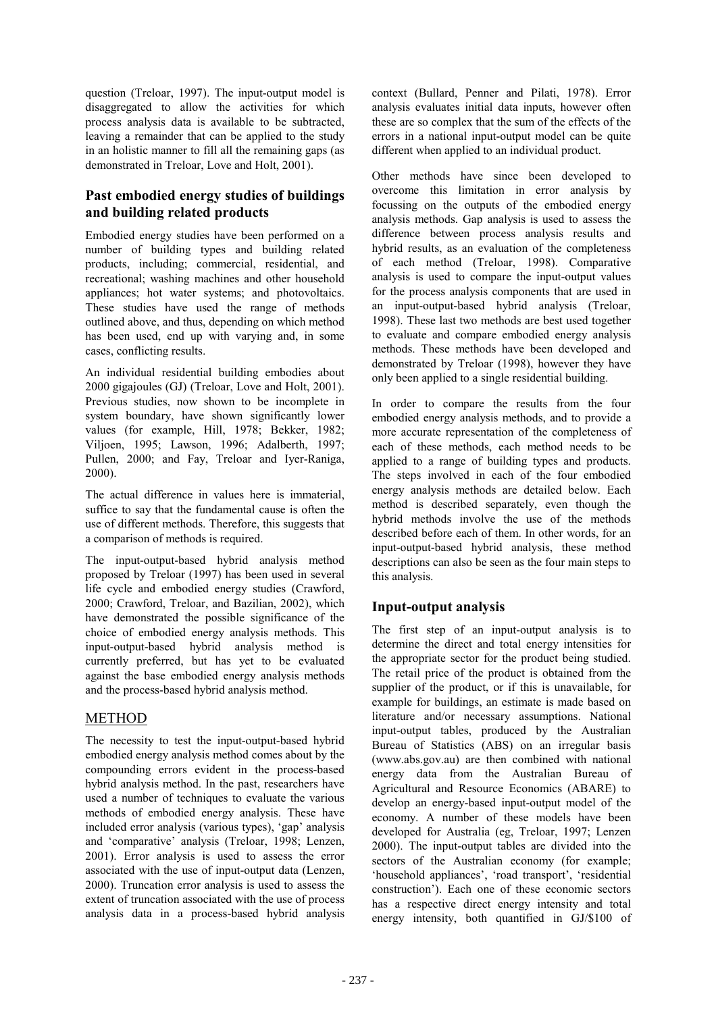question (Treloar, 1997). The input-output model is disaggregated to allow the activities for which process analysis data is available to be subtracted. leaving a remainder that can be applied to the study in an holistic manner to fill all the remaining gaps (as demonstrated in Treloar, Love and Holt, 2001).

# Past embodied energy studies of buildings and building related products

Embodied energy studies have been performed on a number of building types and building related products, including; commercial, residential, and recreational; washing machines and other household appliances; hot water systems; and photovoltaics. These studies have used the range of methods outlined above, and thus, depending on which method has been used, end up with varying and, in some cases, conflicting results.

An individual residential building embodies about 2000 gigajoules (GJ) (Treloar, Love and Holt, 2001). Previous studies, now shown to be incomplete in system boundary, have shown significantly lower values (for example, Hill, 1978; Bekker, 1982; Viljoen, 1995; Lawson, 1996; Adalberth, 1997; Pullen, 2000; and Fay, Treloar and Iver-Raniga,  $2000$ ).

The actual difference in values here is immaterial, suffice to say that the fundamental cause is often the use of different methods. Therefore, this suggests that a comparison of methods is required.

The input-output-based hybrid analysis method proposed by Treloar (1997) has been used in several life cycle and embodied energy studies (Crawford, 2000; Crawford, Treloar, and Bazilian, 2002), which have demonstrated the possible significance of the choice of embodied energy analysis methods. This input-output-based hybrid analysis method is currently preferred, but has yet to be evaluated against the base embodied energy analysis methods and the process-based hybrid analysis method.

## **METHOD**

The necessity to test the input-output-based hybrid embodied energy analysis method comes about by the compounding errors evident in the process-based hybrid analysis method. In the past, researchers have used a number of techniques to evaluate the various methods of embodied energy analysis. These have included error analysis (various types), 'gap' analysis and 'comparative' analysis (Treloar, 1998; Lenzen, 2001). Error analysis is used to assess the error associated with the use of input-output data (Lenzen, 2000). Truncation error analysis is used to assess the extent of truncation associated with the use of process analysis data in a process-based hybrid analysis

context (Bullard, Penner and Pilati, 1978). Error analysis evaluates initial data inputs, however often these are so complex that the sum of the effects of the errors in a national input-output model can be quite different when applied to an individual product.

Other methods have since been developed to overcome this limitation in error analysis by focussing on the outputs of the embodied energy analysis methods. Gap analysis is used to assess the difference between process analysis results and hybrid results, as an evaluation of the completeness of each method (Treloar, 1998). Comparative analysis is used to compare the input-output values for the process analysis components that are used in an input-output-based hybrid analysis (Treloar, 1998). These last two methods are best used together to evaluate and compare embodied energy analysis methods. These methods have been developed and demonstrated by Treloar (1998), however they have only been applied to a single residential building.

In order to compare the results from the four embodied energy analysis methods, and to provide a more accurate representation of the completeness of each of these methods, each method needs to be applied to a range of building types and products. The steps involved in each of the four embodied energy analysis methods are detailed below. Each method is described separately, even though the hybrid methods involve the use of the methods described before each of them. In other words, for an input-output-based hybrid analysis, these method descriptions can also be seen as the four main steps to this analysis.

# **Input-output analysis**

The first step of an input-output analysis is to determine the direct and total energy intensities for the appropriate sector for the product being studied. The retail price of the product is obtained from the supplier of the product, or if this is unavailable, for example for buildings, an estimate is made based on literature and/or necessary assumptions. National input-output tables, produced by the Australian Bureau of Statistics (ABS) on an irregular basis (www.abs.gov.au) are then combined with national energy data from the Australian Bureau of Agricultural and Resource Economics (ABARE) to develop an energy-based input-output model of the economy. A number of these models have been developed for Australia (eg. Treloar, 1997; Lenzen 2000). The input-output tables are divided into the sectors of the Australian economy (for example; 'household appliances', 'road transport', 'residential construction'). Each one of these economic sectors has a respective direct energy intensity and total energy intensity, both quantified in GJ/\$100 of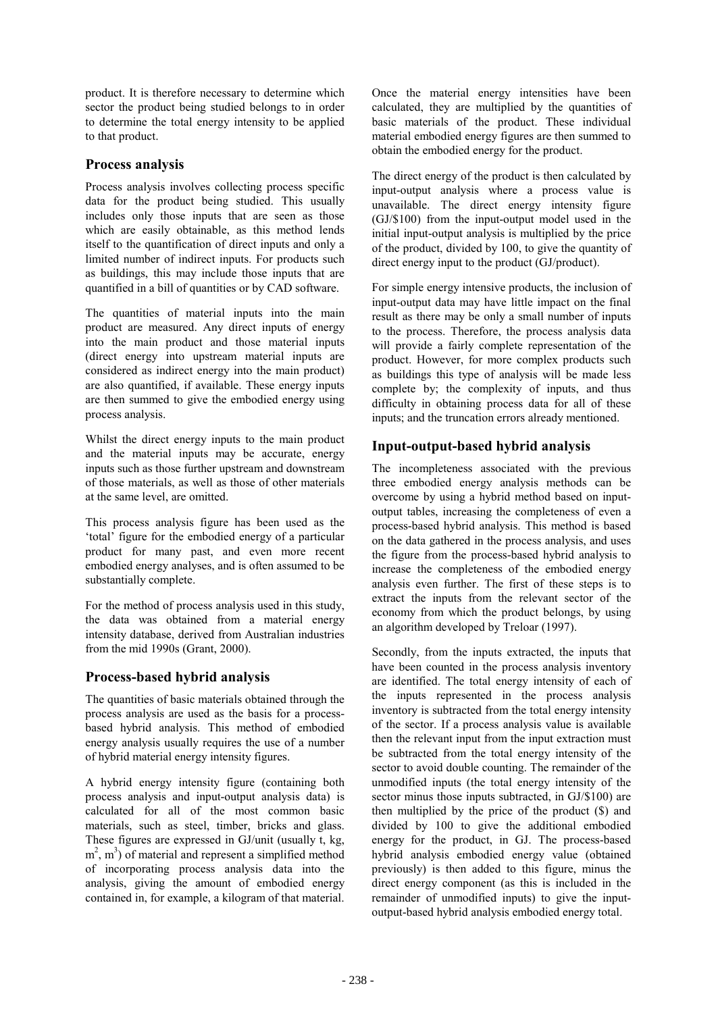product. It is therefore necessary to determine which sector the product being studied belongs to in order to determine the total energy intensity to be applied to that product.

### **Process analysis**

Process analysis involves collecting process specific data for the product being studied. This usually includes only those inputs that are seen as those which are easily obtainable, as this method lends itself to the quantification of direct inputs and only a limited number of indirect inputs. For products such as buildings, this may include those inputs that are quantified in a bill of quantities or by CAD software.

The quantities of material inputs into the main product are measured. Any direct inputs of energy into the main product and those material inputs (direct energy into upstream material inputs are considered as indirect energy into the main product) are also quantified, if available. These energy inputs are then summed to give the embodied energy using process analysis.

Whilst the direct energy inputs to the main product and the material inputs may be accurate, energy inputs such as those further upstream and downstream of those materials as well as those of other materials at the same level, are omitted.

This process analysis figure has been used as the 'total' figure for the embodied energy of a particular product for many past, and even more recent embodied energy analyses, and is often assumed to be substantially complete.

For the method of process analysis used in this study, the data was obtained from a material energy intensity database, derived from Australian industries from the mid 1990s (Grant, 2000).

## Process-based hybrid analysis

The quantities of basic materials obtained through the process analysis are used as the basis for a processbased hybrid analysis. This method of embodied energy analysis usually requires the use of a number of hybrid material energy intensity figures.

A hybrid energy intensity figure (containing both process analysis and input-output analysis data) is calculated for all of the most common basic materials, such as steel, timber, bricks and glass. These figures are expressed in GJ/unit (usually t, kg,  $m<sup>2</sup>$ ,  $m<sup>3</sup>$ ) of material and represent a simplified method of incorporating process analysis data into the analysis, giving the amount of embodied energy contained in, for example, a kilogram of that material. Once the material energy intensities have been calculated, they are multiplied by the quantities of basic materials of the product. These individual material embodied energy figures are then summed to obtain the embodied energy for the product.

The direct energy of the product is then calculated by input-output analysis where a process value is unavailable. The direct energy intensity figure  $(GJ/\$100)$  from the input-output model used in the initial input-output analysis is multiplied by the price of the product, divided by 100, to give the quantity of direct energy input to the product (GJ/product).

For simple energy intensive products, the inclusion of input-output data may have little impact on the final result as there may be only a small number of inputs to the process. Therefore, the process analysis data will provide a fairly complete representation of the product. However, for more complex products such as buildings this type of analysis will be made less complete by; the complexity of inputs, and thus difficulty in obtaining process data for all of these inputs: and the truncation errors already mentioned.

## Input-output-based hybrid analysis

The incompleteness associated with the previous three embodied energy analysis methods can be overcome by using a hybrid method based on inputoutput tables, increasing the completeness of even a process-based hybrid analysis. This method is based on the data gathered in the process analysis, and uses the figure from the process-based hybrid analysis to increase the completeness of the embodied energy analysis even further. The first of these steps is to extract the inputs from the relevant sector of the economy from which the product belongs, by using an algorithm developed by Treloar (1997).

Secondly, from the inputs extracted, the inputs that have been counted in the process analysis inventory are identified. The total energy intensity of each of the inputs represented in the process analysis inventory is subtracted from the total energy intensity of the sector. If a process analysis value is available then the relevant input from the input extraction must be subtracted from the total energy intensity of the sector to avoid double counting. The remainder of the unmodified inputs (the total energy intensity of the sector minus those inputs subtracted, in GJ/\$100) are then multiplied by the price of the product (\$) and divided by 100 to give the additional embodied energy for the product, in GJ. The process-based hybrid analysis embodied energy value (obtained previously) is then added to this figure, minus the direct energy component (as this is included in the remainder of unmodified inputs) to give the inputoutput-based hybrid analysis embodied energy total.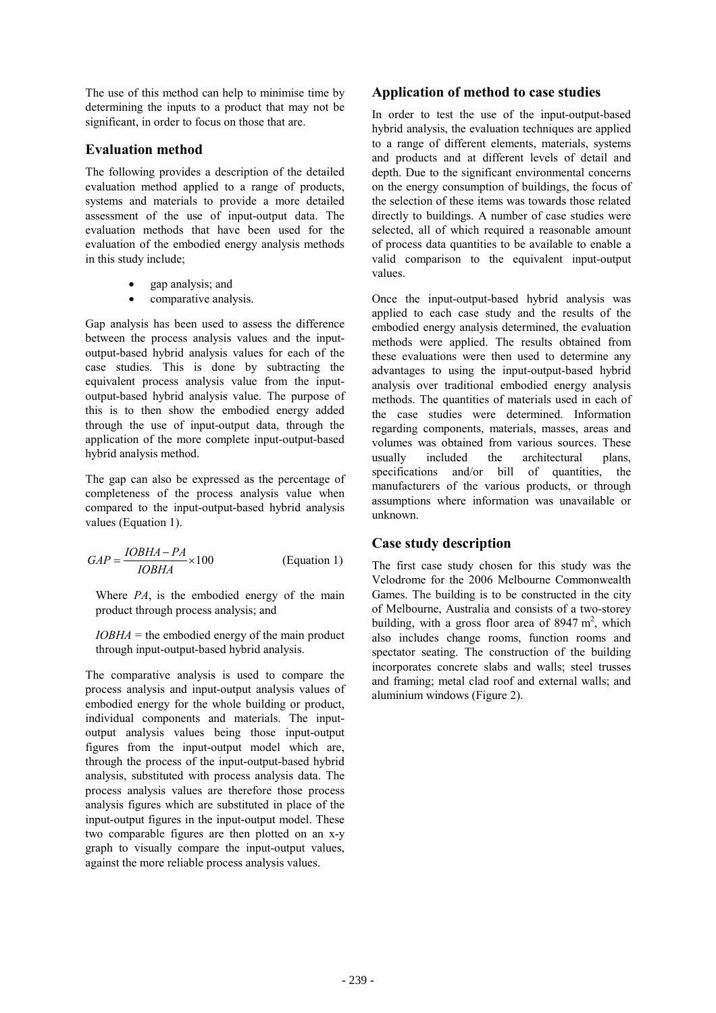The use of this method can help to minimise time by determining the inputs to a product that may not be significant, in order to focus on those that are.

#### **Evaluation method**

The following provides a description of the detailed evaluation method applied to a range of products, systems and materials to provide a more detailed assessment of the use of input-output data. The evaluation methods that have been used for the evaluation of the embodied energy analysis methods in this study include:

- gap analysis: and
- comparative analysis.

Gap analysis has been used to assess the difference between the process analysis values and the inputoutput-based hybrid analysis values for each of the case studies. This is done by subtracting the equivalent process analysis value from the inputoutput-based hybrid analysis value. The purpose of this is to then show the embodied energy added through the use of input-output data, through the application of the more complete input-output-based hybrid analysis method.

The gap can also be expressed as the percentage of completeness of the process analysis value when compared to the input-output-based hybrid analysis values (Equation 1).

$$
GAP = \frac{IOBHA - PA}{IOBHA} \times 100
$$
 (Equation 1)

Where  $PA$ , is the embodied energy of the main product through process analysis; and

 $IOBHA$  = the embodied energy of the main product through input-output-based hybrid analysis.

The comparative analysis is used to compare the process analysis and input-output analysis values of embodied energy for the whole building or product, individual components and materials. The inputoutput analysis values being those input-output figures from the input-output model which are, through the process of the input-output-based hybrid analysis, substituted with process analysis data. The process analysis values are therefore those process analysis figures which are substituted in place of the input-output figures in the input-output model. These two comparable figures are then plotted on an x-y graph to visually compare the input-output values, against the more reliable process analysis values.

## Application of method to case studies

In order to test the use of the input-output-based hybrid analysis, the evaluation techniques are applied to a range of different elements, materials, systems and products and at different levels of detail and depth. Due to the significant environmental concerns on the energy consumption of buildings, the focus of the selection of these items was towards those related directly to buildings. A number of case studies were selected, all of which required a reasonable amount of process data quantities to be available to enable a valid comparison to the equivalent input-output values

Once the input-output-based hybrid analysis was applied to each case study and the results of the embodied energy analysis determined, the evaluation methods were applied. The results obtained from these evaluations were then used to determine any advantages to using the input-output-based hybrid analysis over traditional embodied energy analysis methods. The quantities of materials used in each of the case studies were determined. Information regarding components, materials, masses, areas and volumes was obtained from various sources. These usually included the architectural plans. specifications and/or bill of quantities, the manufacturers of the various products, or through assumptions where information was unavailable or unknown

#### **Case study description**

The first case study chosen for this study was the Velodrome for the 2006 Melbourne Commonwealth Games. The building is to be constructed in the city of Melbourne, Australia and consists of a two-storey building, with a gross floor area of  $8947 \text{ m}^2$ , which also includes change rooms, function rooms and spectator seating. The construction of the building incorporates concrete slabs and walls; steel trusses and framing; metal clad roof and external walls; and aluminium windows (Figure 2).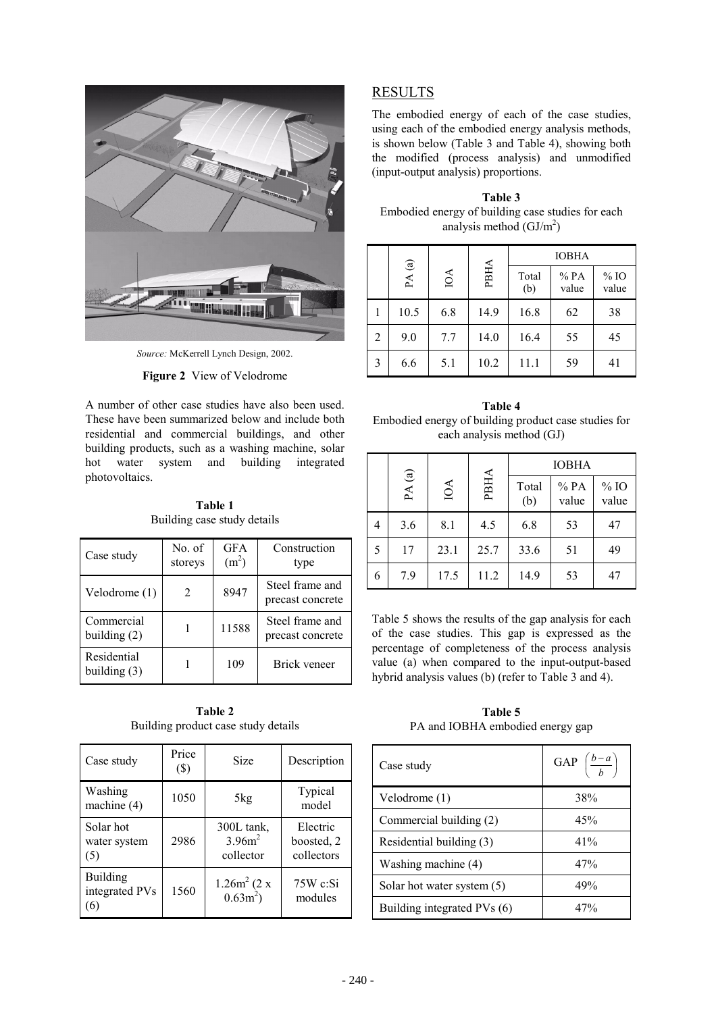

Source: McKerrell Lynch Design, 2002.

#### Figure 2 View of Velodrome

A number of other case studies have also been used. These have been summarized below and include both residential and commercial buildings, and other building products, such as a washing machine, solar water system and building hot integrated photovoltaics.

Table 1 Building case study details

| Case study                    | No. of<br>storeys | <b>GFA</b><br>(m <sup>2</sup> ) | Construction<br>type                |
|-------------------------------|-------------------|---------------------------------|-------------------------------------|
| Velodrome (1)                 | 2                 | 8947                            | Steel frame and<br>precast concrete |
| Commercial<br>building $(2)$  |                   | 11588                           | Steel frame and<br>precast concrete |
| Residential<br>building $(3)$ |                   | 109                             | Brick veneer                        |

Table 2 Building product case study details

| Case study                               | Price<br>$(\$)$ | <b>Size</b>                          | Description                          |
|------------------------------------------|-----------------|--------------------------------------|--------------------------------------|
| Washing<br>machine (4)                   | 1050            | 5kg                                  | Typical<br>model                     |
| Solar hot<br>water system<br>(5)         | 2986            | 300L tank,<br>$3.96m^2$<br>collector | Electric<br>boosted, 2<br>collectors |
| <b>Building</b><br>integrated PVs<br>(6) | 1560            | $1.26m^2(2 x)$<br>$0.63m^2$ )        | $75W$ c:Si<br>modules                |

### **RESULTS**

The embodied energy of each of the case studies, using each of the embodied energy analysis methods. is shown below (Table 3 and Table 4), showing both the modified (process analysis) and unmodified (input-output analysis) proportions.

Table 3 Embodied energy of building case studies for each analysis method  $(GJ/m<sup>2</sup>)$ 

|   |                                       |     |      | <b>IOBHA</b> |              |                 |
|---|---------------------------------------|-----|------|--------------|--------------|-----------------|
|   | $\mathbf{PA}\left( \mathbf{a}\right)$ | IOA | PBHA | Total<br>(b) | %PA<br>value | $%$ IO<br>value |
|   | 10.5                                  | 6.8 | 14.9 | 16.8         | 62           | 38              |
| 2 | 9.0                                   | 7.7 | 14.0 | 16.4         | 55           | 45              |
| 3 | 6.6                                   | 5.1 | 10.2 | 11.1         | 59           | 41              |

Table 4 Embodied energy of building product case studies for each analysis method (GJ)

|   |          |      |      | <b>IOBHA</b> |              |                 |
|---|----------|------|------|--------------|--------------|-----------------|
|   | PA $(a)$ | IOA  | PBHA | Total<br>(b) | %PA<br>value | $%$ IO<br>value |
| 4 | 3.6      | 8.1  | 4.5  | 6.8          | 53           | 47              |
| 5 | 17       | 23.1 | 25.7 | 33.6         | 51           | 49              |
| 6 | 7.9      | 17.5 | 11.2 | 14.9         | 53           | 47              |

Table 5 shows the results of the gap analysis for each of the case studies. This gap is expressed as the percentage of completeness of the process analysis value (a) when compared to the input-output-based hybrid analysis values (b) (refer to Table 3 and 4).

Table 5 PA and IOBHA embodied energy gap

| Case study                  | GAP $\left(\frac{b-a}{b}\right)$ |
|-----------------------------|----------------------------------|
| Velodrome $(1)$             | 38%                              |
| Commercial building (2)     | 45%                              |
| Residential building (3)    | 41%                              |
| Washing machine (4)         | 47%                              |
| Solar hot water system (5)  | 49%                              |
| Building integrated PVs (6) | 47%                              |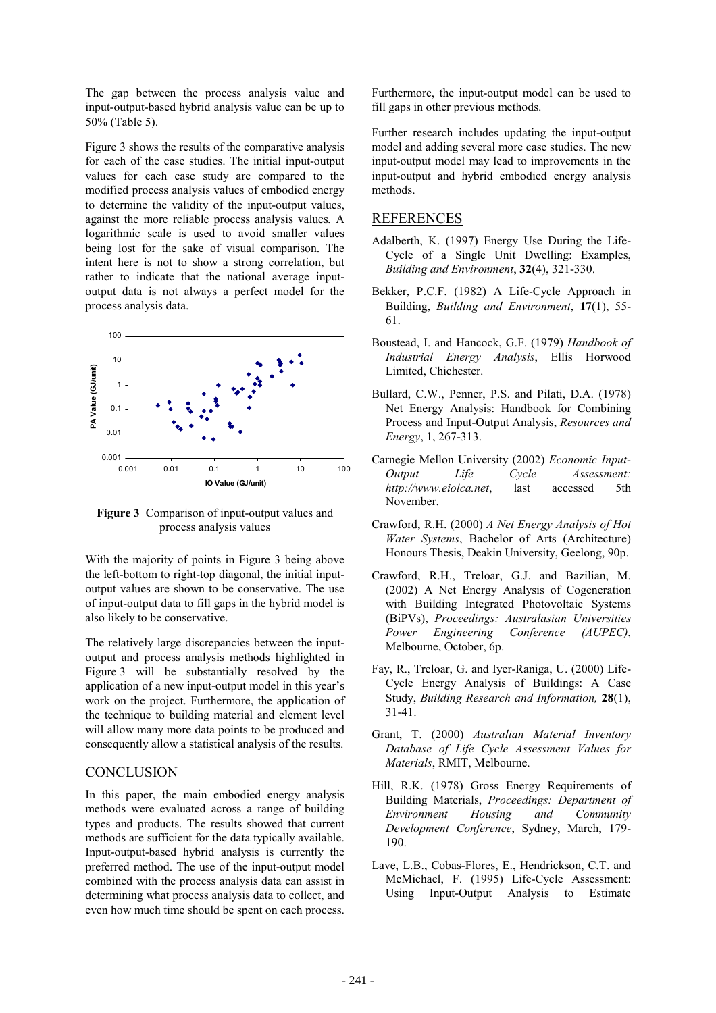The gap between the process analysis value and input-output-based hybrid analysis value can be up to 50% (Table 5).

Figure 3 shows the results of the comparative analysis for each of the case studies. The initial input-output values for each case study are compared to the modified process analysis values of embodied energy to determine the validity of the input-output values, against the more reliable process analysis values. A logarithmic scale is used to avoid smaller values being lost for the sake of visual comparison. The intent here is not to show a strong correlation, but rather to indicate that the national average inputoutput data is not always a perfect model for the process analysis data.



Figure 3 Comparison of input-output values and process analysis values

With the majority of points in Figure 3 being above the left-bottom to right-top diagonal, the initial inputoutput values are shown to be conservative. The use of input-output data to fill gaps in the hybrid model is also likely to be conservative.

The relatively large discrepancies between the inputoutput and process analysis methods highlighted in Figure 3 will be substantially resolved by the application of a new input-output model in this year's work on the project. Furthermore, the application of the technique to building material and element level will allow many more data points to be produced and consequently allow a statistical analysis of the results.

#### **CONCLUSION**

In this paper, the main embodied energy analysis methods were evaluated across a range of building types and products. The results showed that current methods are sufficient for the data typically available. Input-output-based hybrid analysis is currently the preferred method. The use of the input-output model combined with the process analysis data can assist in determining what process analysis data to collect, and even how much time should be spent on each process. Furthermore, the input-output model can be used to fill gaps in other previous methods.

Further research includes updating the input-output model and adding several more case studies. The new input-output model may lead to improvements in the input-output and hybrid embodied energy analysis methods

#### **REFERENCES**

- Adalberth, K. (1997) Energy Use During the Life-Cycle of a Single Unit Dwelling: Examples, Building and Environment, 32(4), 321-330.
- Bekker, P.C.F. (1982) A Life-Cycle Approach in Building, Building and Environment, 17(1), 55-61
- Boustead, I. and Hancock, G.F. (1979) Handbook of Industrial Energy Analysis, Ellis Horwood Limited, Chichester.
- Bullard, C.W., Penner, P.S. and Pilati, D.A. (1978) Net Energy Analysis: Handbook for Combining Process and Input-Output Analysis, Resources and Energy, 1, 267-313.
- Carnegie Mellon University (2002) Economic Input-Output Cycle Assessment: Life http://www.eiolca.net, last accessed 5th November.
- Crawford, R.H. (2000) A Net Energy Analysis of Hot Water Systems, Bachelor of Arts (Architecture) Honours Thesis, Deakin University, Geelong, 90p.
- Crawford, R.H., Treloar, G.J. and Bazilian, M. (2002) A Net Energy Analysis of Cogeneration with Building Integrated Photovoltaic Systems (BiPVs), Proceedings: Australasian Universities Power Engineering Conference  $(AUPEC)$ . Melbourne, October, 6p.
- Fay, R., Treloar, G. and Iver-Raniga, U. (2000) Life-Cycle Energy Analysis of Buildings: A Case Study, Building Research and Information, 28(1),  $31-41.$
- Grant, T. (2000) Australian Material Inventory Database of Life Cycle Assessment Values for Materials, RMIT, Melbourne.
- Hill, R.K. (1978) Gross Energy Requirements of Building Materials, *Proceedings: Department of* Environment Housing and Community Development Conference, Sydney, March, 179-190
- Lave, L.B., Cobas-Flores, E., Hendrickson, C.T. and McMichael, F. (1995) Life-Cycle Assessment: Input-Output Analysis to Estimate Using